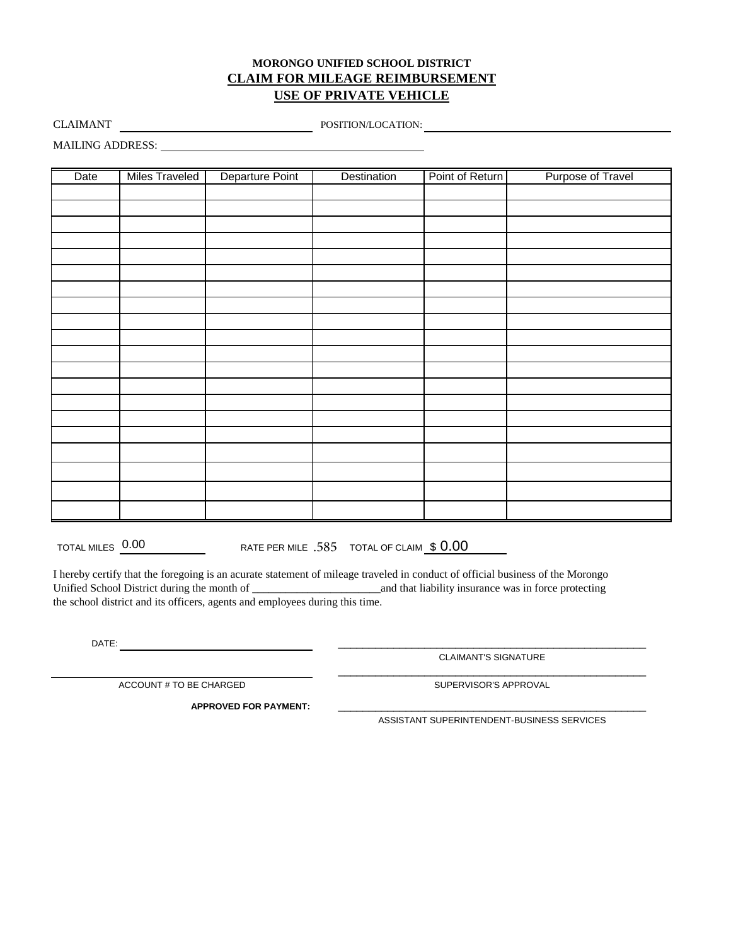## **MORONGO UNIFIED SCHOOL DISTRICT CLAIM FOR MILEAGE REIMBURSEMENT USE OF PRIVATE VEHICLE**

CLAIMANT **CLAIMANT** POSITION/LOCATION:

MAILING ADDRESS:

| Date | <b>Miles Traveled</b> | Departure Point | Destination | Point of Return | Purpose of Travel |
|------|-----------------------|-----------------|-------------|-----------------|-------------------|
|      |                       |                 |             |                 |                   |
|      |                       |                 |             |                 |                   |
|      |                       |                 |             |                 |                   |
|      |                       |                 |             |                 |                   |
|      |                       |                 |             |                 |                   |
|      |                       |                 |             |                 |                   |
|      |                       |                 |             |                 |                   |
|      |                       |                 |             |                 |                   |
|      |                       |                 |             |                 |                   |
|      |                       |                 |             |                 |                   |
|      |                       |                 |             |                 |                   |
|      |                       |                 |             |                 |                   |
|      |                       |                 |             |                 |                   |
|      |                       |                 |             |                 |                   |
|      |                       |                 |             |                 |                   |
|      |                       |                 |             |                 |                   |
|      |                       |                 |             |                 |                   |
|      |                       |                 |             |                 |                   |
|      |                       |                 |             |                 |                   |
|      |                       |                 |             |                 |                   |

TOTAL MILES  $\frac{0.00}{0.00}$  RATE PER MILE  $.585$  TOTAL OF CLAIM  $\underline{\$~0.00}$ 

I hereby certify that the foregoing is an acurate statement of mileage traveled in conduct of official business of the Morongo Unified School District during the month of \_\_\_\_\_\_\_\_\_\_\_\_\_\_\_\_\_\_\_\_\_\_\_and that liability insurance was in force protecting the school district and its officers, agents and employees during this time.

DATE:

CLAIMANT'S SIGNATURE \_\_\_\_\_\_\_\_\_\_\_\_\_\_\_\_\_\_\_\_\_\_\_\_\_\_\_\_\_\_\_\_\_\_\_\_\_\_\_\_\_\_\_\_\_\_\_\_\_\_ \_\_\_\_\_\_\_\_\_\_\_\_\_\_\_\_\_\_\_\_\_\_\_\_\_\_\_\_\_\_\_\_\_\_\_\_\_\_\_\_\_\_\_\_\_\_\_\_\_\_

ACCOUNT # TO BE CHARGED

**APPROVED FOR PAYMENT:** \_\_\_\_\_\_\_\_\_\_\_\_\_\_\_\_\_\_\_\_\_\_\_\_\_\_\_\_\_\_\_\_\_\_\_\_\_\_\_\_\_\_\_\_\_\_\_\_\_\_

SUPERVISOR'S APPROVAL

ASSISTANT SUPERINTENDENT-BUSINESS SERVICES